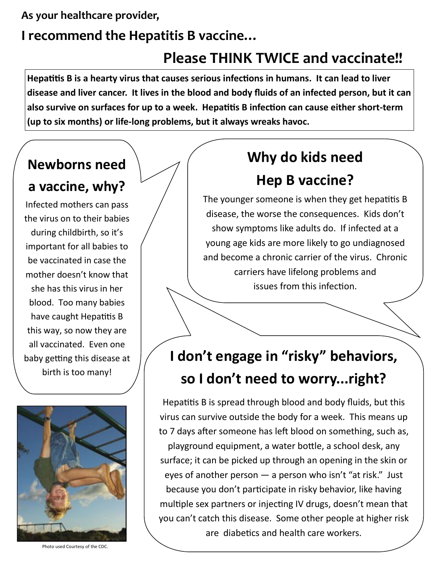## **As your healthcare provider,**

## **I recommend the Hepatitis B vaccine…**

# **Please THINK TWICE and vaccinate!!**

**Hepatitis B is a hearty virus that causes serious infections in humans. It can lead to liver disease and liver cancer. It lives in the blood and body fluids of an infected person, but it can also survive on surfaces for up to a week. Hepatitis B infection can cause either short-term (up to six months) or life-long problems, but it always wreaks havoc.** 



to 7 days after someone has left blood on something, such as, playground equipment, a water bottle, a school desk, any surface; it can be picked up through an opening in the skin or eyes of another person — a person who isn't "at risk." Just because you don't participate in risky behavior, like having multiple sex partners or injecting IV drugs, doesn't mean that you can't catch this disease. Some other people at higher risk are diabetics and health care workers.

Photo used Courtesy of the CDC.